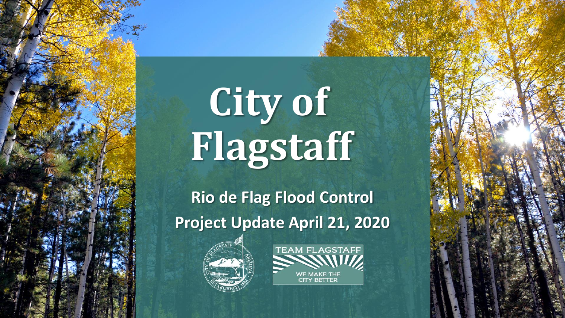# City of **Flagstaff**

**Rio de Flag Flood Control Project Update April 21, 2020** 



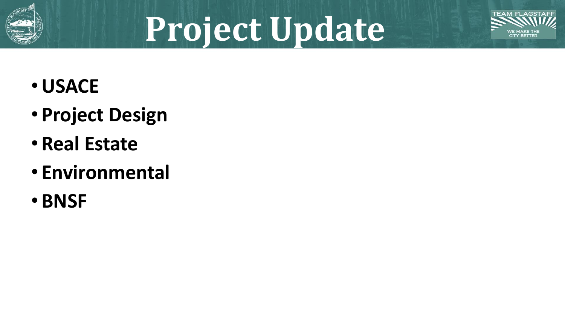

# **Project Update**



- •**USACE**
- **Project Design**
- **Real Estate**
- **Environmental**
- **BNSF**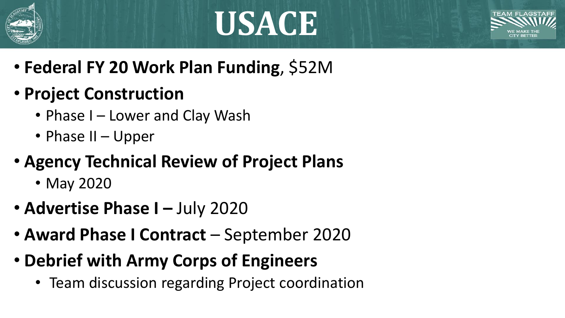





- **Federal FY 20 Work Plan Funding**, \$52M
- **Project Construction**
	- Phase I Lower and Clay Wash
	- Phase II Upper
- **Agency Technical Review of Project Plans**
	- May 2020
- **Advertise Phase I July 2020**
- **Award Phase I Contract**  September 2020
- **Debrief with Army Corps of Engineers**
	- Team discussion regarding Project coordination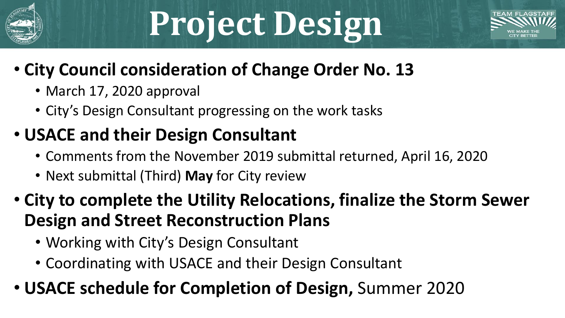

# **Project Design**



### • **City Council consideration of Change Order No. 13**

- March 17, 2020 approval
- City's Design Consultant progressing on the work tasks

### • **USACE and their Design Consultant**

- Comments from the November 2019 submittal returned, April 16, 2020
- Next submittal (Third) **May** for City review
- **City to complete the Utility Relocations, finalize the Storm Sewer Design and Street Reconstruction Plans**
	- Working with City's Design Consultant
	- Coordinating with USACE and their Design Consultant
- **USACE schedule for Completion of Design,** Summer 2020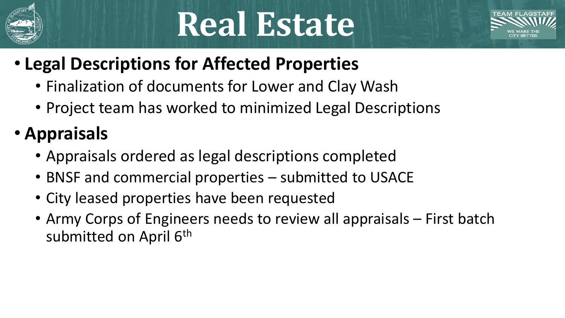

## **Real Estate**



### • **Legal Descriptions for Affected Properties**

- Finalization of documents for Lower and Clay Wash
- Project team has worked to minimized Legal Descriptions
- **Appraisals** 
	- Appraisals ordered as legal descriptions completed
	- BNSF and commercial properties submitted to USACE
	- City leased properties have been requested
	- Army Corps of Engineers needs to review all appraisals First batch submitted on April 6<sup>th</sup>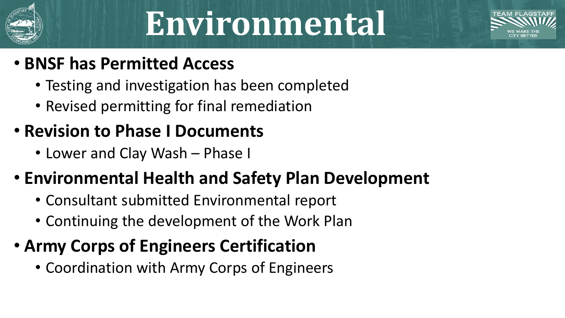

### **Environmental**



### • **BNSF has Permitted Access**

- Testing and investigation has been completed
- Revised permitting for final remediation

### • **Revision to Phase I Documents**

• Lower and Clay Wash – Phase I

#### • **Environmental Health and Safety Plan Development**

- Consultant submitted Environmental report
- Continuing the development of the Work Plan

### • **Army Corps of Engineers Certification**

• Coordination with Army Corps of Engineers